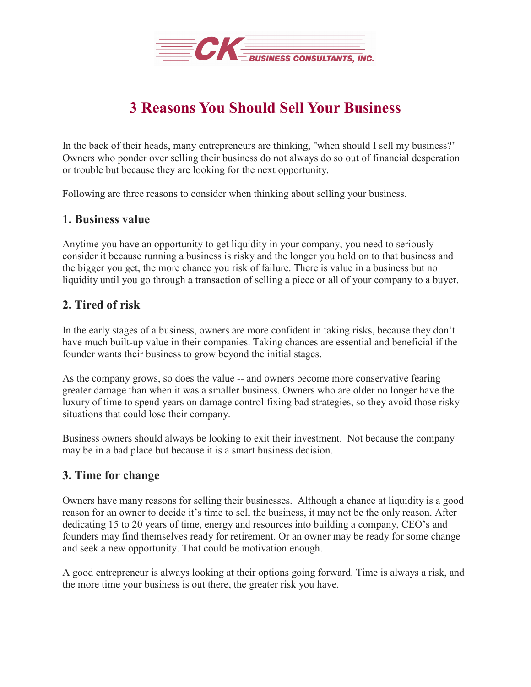

# **3 Reasons You Should Sell Your Business**

In the back of their heads, many entrepreneurs are thinking, "when should I sell my business?" Owners who ponder over selling their business do not always do so out of financial desperation or trouble but because they are looking for the next opportunity.

Following are three reasons to consider when thinking about selling your business.

### **1. Business value**

Anytime you have an opportunity to get liquidity in your company, you need to seriously consider it because running a business is risky and the longer you hold on to that business and the bigger you get, the more chance you risk of failure. There is value in a business but no liquidity until you go through a transaction of selling a piece or all of your company to a buyer.

## **2. Tired of risk**

In the early stages of a business, owners are more confident in taking risks, because they don't have much built-up value in their companies. Taking chances are essential and beneficial if the founder wants their business to grow beyond the initial stages.

As the company grows, so does the value -- and owners become more conservative fearing greater damage than when it was a smaller business. Owners who are older no longer have the luxury of time to spend years on damage control fixing bad strategies, so they avoid those risky situations that could lose their company.

Business owners should always be looking to exit their investment. Not because the company may be in a bad place but because it is a smart business decision.

### **3. Time for change**

Owners have many reasons for selling their businesses. Although a chance at liquidity is a good reason for an owner to decide it's time to sell the business, it may not be the only reason. After dedicating 15 to 20 years of time, energy and resources into building a company, CEO's and founders may find themselves ready for retirement. Or an owner may be ready for some change and seek a new opportunity. That could be motivation enough.

A good entrepreneur is always looking at their options going forward. Time is always a risk, and the more time your business is out there, the greater risk you have.